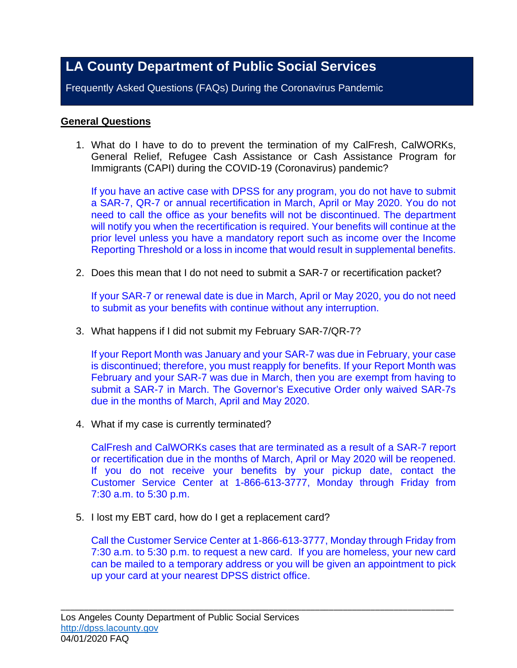# **LA County Department of Public Social Services**

Frequently Asked Questions (FAQs) During the Coronavirus Pandemic

## **General Questions**

1. What do I have to do to prevent the termination of my CalFresh, CalWORKs, General Relief, Refugee Cash Assistance or Cash Assistance Program for Immigrants (CAPI) during the COVID-19 (Coronavirus) pandemic?

If you have an active case with DPSS for any program, you do not have to submit a SAR-7, QR-7 or annual recertification in March, April or May 2020. You do not need to call the office as your benefits will not be discontinued. The department will notify you when the recertification is required. Your benefits will continue at the prior level unless you have a mandatory report such as income over the Income Reporting Threshold or a loss in income that would result in supplemental benefits.

2. Does this mean that I do not need to submit a SAR-7 or recertification packet?

If your SAR-7 or renewal date is due in March, April or May 2020, you do not need to submit as your benefits with continue without any interruption.

3. What happens if I did not submit my February SAR-7/QR-7?

If your Report Month was January and your SAR-7 was due in February, your case is discontinued; therefore, you must reapply for benefits. If your Report Month was February and your SAR-7 was due in March, then you are exempt from having to submit a SAR-7 in March. The Governor's Executive Order only waived SAR-7s due in the months of March, April and May 2020.

4. What if my case is currently terminated?

CalFresh and CalWORKs cases that are terminated as a result of a SAR-7 report or recertification due in the months of March, April or May 2020 will be reopened. If you do not receive your benefits by your pickup date, contact the Customer Service Center at 1-866-613-3777, Monday through Friday from 7:30 a.m. to 5:30 p.m.

5. I lost my EBT card, how do I get a replacement card?

Call the Customer Service Center at 1-866-613-3777, Monday through Friday from 7:30 a.m. to 5:30 p.m. to request a new card. If you are homeless, your new card can be mailed to a temporary address or you will be given an appointment to pick up your card at your nearest DPSS district office.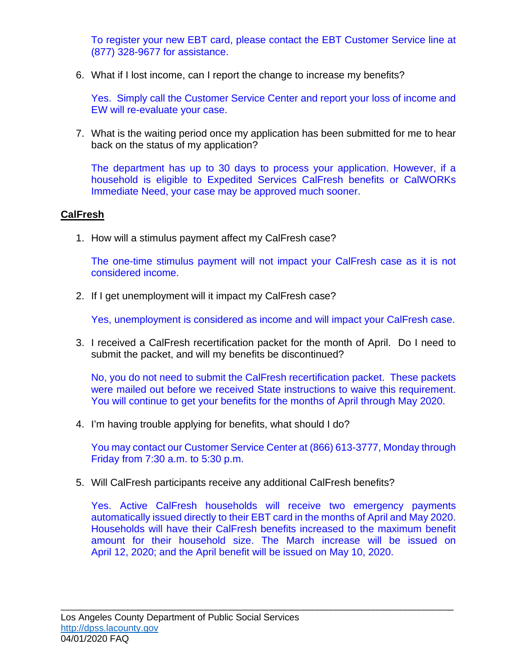To register your new EBT card, please contact the EBT Customer Service line at (877) 328-9677 for assistance.

6. What if I lost income, can I report the change to increase my benefits?

Yes. Simply call the Customer Service Center and report your loss of income and EW will re-evaluate your case.

7. What is the waiting period once my application has been submitted for me to hear back on the status of my application?

The department has up to 30 days to process your application. However, if a household is eligible to Expedited Services CalFresh benefits or CalWORKs Immediate Need, your case may be approved much sooner.

## **CalFresh**

1. How will a stimulus payment affect my CalFresh case?

The one-time stimulus payment will not impact your CalFresh case as it is not considered income.

2. If I get unemployment will it impact my CalFresh case?

Yes, unemployment is considered as income and will impact your CalFresh case.

3. I received a CalFresh recertification packet for the month of April. Do I need to submit the packet, and will my benefits be discontinued?

No, you do not need to submit the CalFresh recertification packet. These packets were mailed out before we received State instructions to waive this requirement. You will continue to get your benefits for the months of April through May 2020.

4. I'm having trouble applying for benefits, what should I do?

You may contact our Customer Service Center at (866) 613-3777, Monday through Friday from 7:30 a.m. to 5:30 p.m.

5. Will CalFresh participants receive any additional CalFresh benefits?

Yes. Active CalFresh households will receive two emergency payments automatically issued directly to their EBT card in the months of April and May 2020. Households will have their CalFresh benefits increased to the maximum benefit amount for their household size. The March increase will be issued on April 12, 2020; and the April benefit will be issued on May 10, 2020.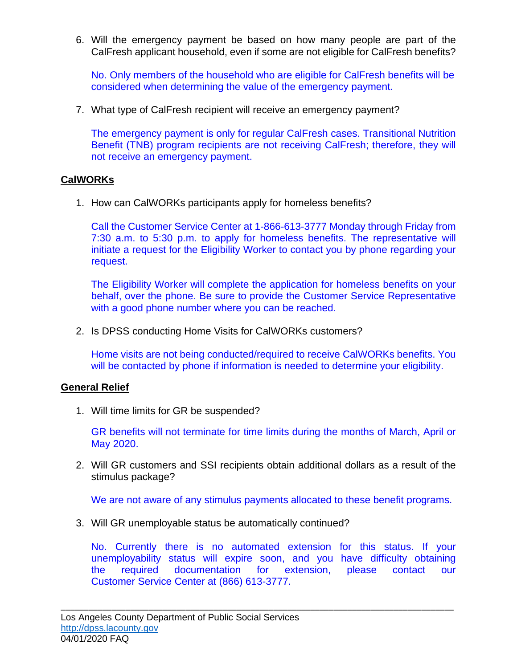6. Will the emergency payment be based on how many people are part of the CalFresh applicant household, even if some are not eligible for CalFresh benefits?

No. Only members of the household who are eligible for CalFresh benefits will be considered when determining the value of the emergency payment.

7. What type of CalFresh recipient will receive an emergency payment?

The emergency payment is only for regular CalFresh cases. Transitional Nutrition Benefit (TNB) program recipients are not receiving CalFresh; therefore, they will not receive an emergency payment.

## **CalWORKs**

1. How can CalWORKs participants apply for homeless benefits?

Call the Customer Service Center at 1-866-613-3777 Monday through Friday from 7:30 a.m. to 5:30 p.m. to apply for homeless benefits. The representative will initiate a request for the Eligibility Worker to contact you by phone regarding your request.

The Eligibility Worker will complete the application for homeless benefits on your behalf, over the phone. Be sure to provide the Customer Service Representative with a good phone number where you can be reached.

2. Is DPSS conducting Home Visits for CalWORKs customers?

Home visits are not being conducted/required to receive CalWORKs benefits. You will be contacted by phone if information is needed to determine your eligibility.

### **General Relief**

1. Will time limits for GR be suspended?

GR benefits will not terminate for time limits during the months of March, April or May 2020.

2. Will GR customers and SSI recipients obtain additional dollars as a result of the stimulus package?

We are not aware of any stimulus payments allocated to these benefit programs.

3. Will GR unemployable status be automatically continued?

No. Currently there is no automated extension for this status. If your unemployability status will expire soon, and you have difficulty obtaining the required documentation for extension, please contact our Customer Service Center at (866) 613-3777.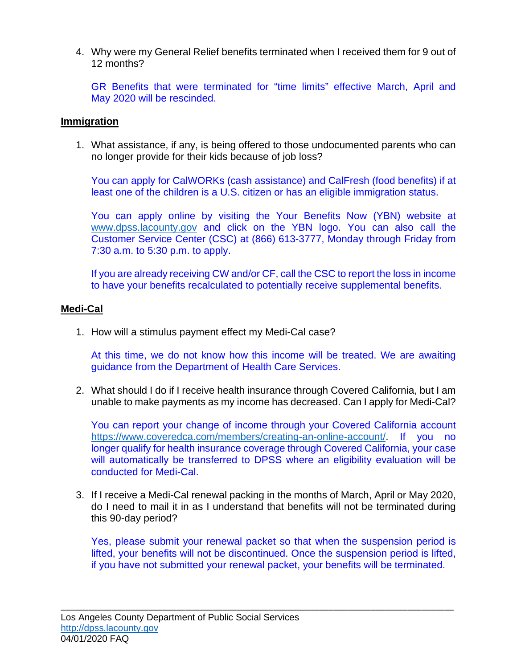4. Why were my General Relief benefits terminated when I received them for 9 out of 12 months?

GR Benefits that were terminated for "time limits" effective March, April and May 2020 will be rescinded.

#### **Immigration**

1. What assistance, if any, is being offered to those undocumented parents who can no longer provide for their kids because of job loss?

You can apply for CalWORKs (cash assistance) and CalFresh (food benefits) if at least one of the children is a U.S. citizen or has an eligible immigration status.

You can apply online by visiting the Your Benefits Now (YBN) website at [www.dpss.lacounty.gov](http://www.dpss.lacounty.gov/) and click on the YBN logo. You can also call the Customer Service Center (CSC) at (866) 613-3777, Monday through Friday from 7:30 a.m. to 5:30 p.m. to apply.

If you are already receiving CW and/or CF, call the CSC to report the loss in income to have your benefits recalculated to potentially receive supplemental benefits.

#### **Medi-Cal**

1. How will a stimulus payment effect my Medi-Cal case?

At this time, we do not know how this income will be treated. We are awaiting guidance from the Department of Health Care Services.

2. What should I do if I receive health insurance through Covered California, but I am unable to make payments as my income has decreased. Can I apply for Medi-Cal?

You can report your change of income through your Covered California account https://www.coveredca.com/members/creating-an-online-account/ If you no longer qualify for health insurance coverage through Covered California, your case will automatically be transferred to DPSS where an eligibility evaluation will be conducted for Medi-Cal.

3. If I receive a Medi-Cal renewal packing in the months of March, April or May 2020, do I need to mail it in as I understand that benefits will not be terminated during this 90-day period?

Yes, please submit your renewal packet so that when the suspension period is lifted, your benefits will not be discontinued. Once the suspension period is lifted, if you have not submitted your renewal packet, your benefits will be terminated.